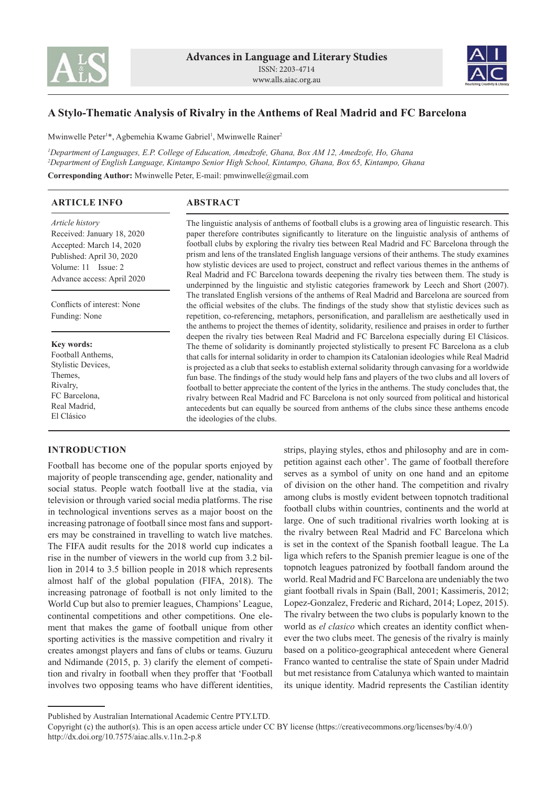



# **A Stylo-Thematic Analysis of Rivalry in the Anthems of Real Madrid and FC Barcelona**

Mwinwelle Peter<sup>1\*</sup>, Agbemehia Kwame Gabriel<sup>1</sup>, Mwinwelle Rainer<sup>2</sup>

*1 Department of Languages, E.P. College of Education, Amedzofe, Ghana, Box AM 12, Amedzofe, Ho, Ghana 2 Department of English Language, Kintampo Senior High School, Kintampo, Ghana, Box 65, Kintampo, Ghana* **Corresponding Author:** Mwinwelle Peter, E-mail: pmwinwelle@gmail.com

| <b>ARTICLE INFO</b>                                                                                                                                         | <b>ABSTRACT</b>                                                                                                                                                                                                                                                                                                                                                                                                                                                                                                                                                                                                                                                                                                                                                                                                                                                                                                                                                                                                                                                                                                                                                                                                                                                                                                                                                                                                                                                                                                                                                                                                                                                                                                                                                                                                                                                                                                                                                                                   |
|-------------------------------------------------------------------------------------------------------------------------------------------------------------|---------------------------------------------------------------------------------------------------------------------------------------------------------------------------------------------------------------------------------------------------------------------------------------------------------------------------------------------------------------------------------------------------------------------------------------------------------------------------------------------------------------------------------------------------------------------------------------------------------------------------------------------------------------------------------------------------------------------------------------------------------------------------------------------------------------------------------------------------------------------------------------------------------------------------------------------------------------------------------------------------------------------------------------------------------------------------------------------------------------------------------------------------------------------------------------------------------------------------------------------------------------------------------------------------------------------------------------------------------------------------------------------------------------------------------------------------------------------------------------------------------------------------------------------------------------------------------------------------------------------------------------------------------------------------------------------------------------------------------------------------------------------------------------------------------------------------------------------------------------------------------------------------------------------------------------------------------------------------------------------------|
| Article history<br>Received: January 18, 2020<br>Accepted: March 14, 2020<br>Published: April 30, 2020<br>Volume: 11 Issue: 2<br>Advance access: April 2020 | The linguistic analysis of anthems of football clubs is a growing area of linguistic research. This<br>paper therefore contributes significantly to literature on the linguistic analysis of anthems of<br>football clubs by exploring the rivalry ties between Real Madrid and FC Barcelona through the<br>prism and lens of the translated English language versions of their anthems. The study examines<br>how stylistic devices are used to project, construct and reflect various themes in the anthems of<br>Real Madrid and FC Barcelona towards deepening the rivalry ties between them. The study is<br>underpinned by the linguistic and stylistic categories framework by Leech and Short (2007).<br>The translated English versions of the anthems of Real Madrid and Barcelona are sourced from<br>the official websites of the clubs. The findings of the study show that stylistic devices such as<br>repetition, co-referencing, metaphors, personification, and parallelism are aesthetically used in<br>the anthems to project the themes of identity, solidarity, resilience and praises in order to further<br>deepen the rivalry ties between Real Madrid and FC Barcelona especially during El Clásicos.<br>The theme of solidarity is dominantly projected stylistically to present FC Barcelona as a club<br>that calls for internal solidarity in order to champion its Catalonian ideologies while Real Madrid<br>is projected as a club that seeks to establish external solidarity through canvasing for a worldwide<br>fun base. The findings of the study would help fans and players of the two clubs and all lovers of<br>football to better appreciate the content of the lyrics in the anthems. The study concludes that, the<br>rivalry between Real Madrid and FC Barcelona is not only sourced from political and historical<br>antecedents but can equally be sourced from anthems of the clubs since these anthems encode<br>the ideologies of the clubs. |
| Conflicts of interest: None<br>Funding: None                                                                                                                |                                                                                                                                                                                                                                                                                                                                                                                                                                                                                                                                                                                                                                                                                                                                                                                                                                                                                                                                                                                                                                                                                                                                                                                                                                                                                                                                                                                                                                                                                                                                                                                                                                                                                                                                                                                                                                                                                                                                                                                                   |
| Key words:<br>Football Anthems.<br>Stylistic Devices,<br>Themes,<br>Rivalry,<br>FC Barcelona,<br>Real Madrid,<br>El Clásico                                 |                                                                                                                                                                                                                                                                                                                                                                                                                                                                                                                                                                                                                                                                                                                                                                                                                                                                                                                                                                                                                                                                                                                                                                                                                                                                                                                                                                                                                                                                                                                                                                                                                                                                                                                                                                                                                                                                                                                                                                                                   |

## **INTRODUCTION**

Football has become one of the popular sports enjoyed by majority of people transcending age, gender, nationality and social status. People watch football live at the stadia, via television or through varied social media platforms. The rise in technological inventions serves as a major boost on the increasing patronage of football since most fans and supporters may be constrained in travelling to watch live matches. The FIFA audit results for the 2018 world cup indicates a rise in the number of viewers in the world cup from 3.2 billion in 2014 to 3.5 billion people in 2018 which represents almost half of the global population (FIFA, 2018). The increasing patronage of football is not only limited to the World Cup but also to premier leagues, Champions' League, continental competitions and other competitions. One element that makes the game of football unique from other sporting activities is the massive competition and rivalry it creates amongst players and fans of clubs or teams. Guzuru and Ndimande (2015, p. 3) clarify the element of competition and rivalry in football when they proffer that 'Football involves two opposing teams who have different identities,

strips, playing styles, ethos and philosophy and are in competition against each other'. The game of football therefore serves as a symbol of unity on one hand and an epitome of division on the other hand. The competition and rivalry among clubs is mostly evident between topnotch traditional football clubs within countries, continents and the world at large. One of such traditional rivalries worth looking at is the rivalry between Real Madrid and FC Barcelona which is set in the context of the Spanish football league. The La liga which refers to the Spanish premier league is one of the topnotch leagues patronized by football fandom around the world. Real Madrid and FC Barcelona are undeniably the two giant football rivals in Spain (Ball, 2001; Kassimeris, 2012; Lopez-Gonzalez, Frederic and Richard, 2014; Lopez, 2015). The rivalry between the two clubs is popularly known to the world as *el clasico* which creates an identity conflict whenever the two clubs meet. The genesis of the rivalry is mainly based on a politico-geographical antecedent where General Franco wanted to centralise the state of Spain under Madrid but met resistance from Catalunya which wanted to maintain its unique identity. Madrid represents the Castilian identity

Published by Australian International Academic Centre PTY.LTD.

Copyright (c) the author(s). This is an open access article under CC BY license (https://creativecommons.org/licenses/by/4.0/) http://dx.doi.org/10.7575/aiac.alls.v.11n.2-p.8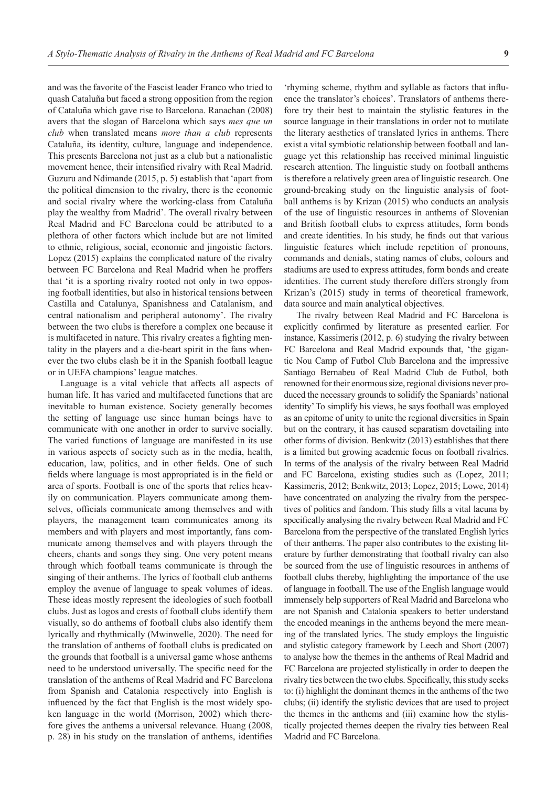and was the favorite of the Fascist leader Franco who tried to quash Cataluña but faced a strong opposition from the region of Cataluña which gave rise to Barcelona. Ranachan (2008) avers that the slogan of Barcelona which says *mes que un club* when translated means *more than a club* represents Cataluña, its identity, culture, language and independence. This presents Barcelona not just as a club but a nationalistic movement hence, their intensified rivalry with Real Madrid. Guzuru and Ndimande (2015, p. 5) establish that 'apart from the political dimension to the rivalry, there is the economic and social rivalry where the working-class from Cataluña play the wealthy from Madrid'. The overall rivalry between Real Madrid and FC Barcelona could be attributed to a plethora of other factors which include but are not limited to ethnic, religious, social, economic and jingoistic factors. Lopez (2015) explains the complicated nature of the rivalry between FC Barcelona and Real Madrid when he proffers that 'it is a sporting rivalry rooted not only in two opposing football identities, but also in historical tensions between Castilla and Catalunya, Spanishness and Catalanism, and central nationalism and peripheral autonomy'. The rivalry between the two clubs is therefore a complex one because it is multifaceted in nature. This rivalry creates a fighting mentality in the players and a die-heart spirit in the fans whenever the two clubs clash be it in the Spanish football league or in UEFA champions' league matches.

Language is a vital vehicle that affects all aspects of human life. It has varied and multifaceted functions that are inevitable to human existence. Society generally becomes the setting of language use since human beings have to communicate with one another in order to survive socially. The varied functions of language are manifested in its use in various aspects of society such as in the media, health, education, law, politics, and in other fields. One of such fields where language is most appropriated is in the field or area of sports. Football is one of the sports that relies heavily on communication. Players communicate among themselves, officials communicate among themselves and with players, the management team communicates among its members and with players and most importantly, fans communicate among themselves and with players through the cheers, chants and songs they sing. One very potent means through which football teams communicate is through the singing of their anthems. The lyrics of football club anthems employ the avenue of language to speak volumes of ideas. These ideas mostly represent the ideologies of such football clubs. Just as logos and crests of football clubs identify them visually, so do anthems of football clubs also identify them lyrically and rhythmically (Mwinwelle, 2020). The need for the translation of anthems of football clubs is predicated on the grounds that football is a universal game whose anthems need to be understood universally. The specific need for the translation of the anthems of Real Madrid and FC Barcelona from Spanish and Catalonia respectively into English is influenced by the fact that English is the most widely spoken language in the world (Morrison, 2002) which therefore gives the anthems a universal relevance. Huang (2008, p. 28) in his study on the translation of anthems, identifies

'rhyming scheme, rhythm and syllable as factors that influence the translator's choices'. Translators of anthems therefore try their best to maintain the stylistic features in the source language in their translations in order not to mutilate the literary aesthetics of translated lyrics in anthems. There exist a vital symbiotic relationship between football and language yet this relationship has received minimal linguistic research attention. The linguistic study on football anthems is therefore a relatively green area of linguistic research. One ground-breaking study on the linguistic analysis of football anthems is by Krizan (2015) who conducts an analysis of the use of linguistic resources in anthems of Slovenian and British football clubs to express attitudes, form bonds and create identities. In his study, he finds out that various linguistic features which include repetition of pronouns, commands and denials, stating names of clubs, colours and stadiums are used to express attitudes, form bonds and create identities. The current study therefore differs strongly from Krizan's (2015) study in terms of theoretical framework, data source and main analytical objectives.

The rivalry between Real Madrid and FC Barcelona is explicitly confirmed by literature as presented earlier. For instance, Kassimeris (2012, p. 6) studying the rivalry between FC Barcelona and Real Madrid expounds that, 'the gigantic Nou Camp of Futbol Club Barcelona and the impressive Santiago Bernabeu of Real Madrid Club de Futbol, both renowned for their enormous size, regional divisions never produced the necessary grounds to solidify the Spaniards' national identity' To simplify his views, he says football was employed as an epitome of unity to unite the regional diversities in Spain but on the contrary, it has caused separatism dovetailing into other forms of division. Benkwitz (2013) establishes that there is a limited but growing academic focus on football rivalries. In terms of the analysis of the rivalry between Real Madrid and FC Barcelona, existing studies such as (Lopez, 2011; Kassimeris, 2012; Benkwitz, 2013; Lopez, 2015; Lowe, 2014) have concentrated on analyzing the rivalry from the perspectives of politics and fandom. This study fills a vital lacuna by specifically analysing the rivalry between Real Madrid and FC Barcelona from the perspective of the translated English lyrics of their anthems. The paper also contributes to the existing literature by further demonstrating that football rivalry can also be sourced from the use of linguistic resources in anthems of football clubs thereby, highlighting the importance of the use of language in football. The use of the English language would immensely help supporters of Real Madrid and Barcelona who are not Spanish and Catalonia speakers to better understand the encoded meanings in the anthems beyond the mere meaning of the translated lyrics. The study employs the linguistic and stylistic category framework by Leech and Short (2007) to analyse how the themes in the anthems of Real Madrid and FC Barcelona are projected stylistically in order to deepen the rivalry ties between the two clubs. Specifically, this study seeks to: (i) highlight the dominant themes in the anthems of the two clubs; (ii) identify the stylistic devices that are used to project the themes in the anthems and (iii) examine how the stylistically projected themes deepen the rivalry ties between Real Madrid and FC Barcelona.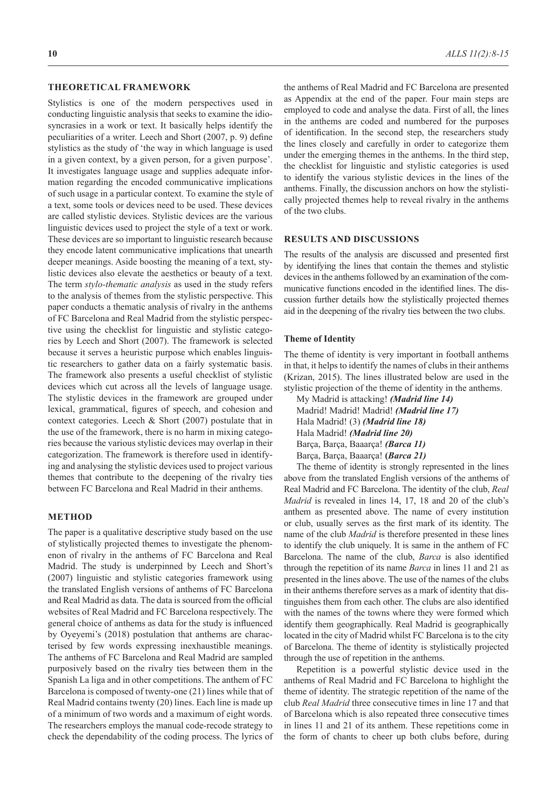#### **THEORETICAL FRAMEWORK**

Stylistics is one of the modern perspectives used in conducting linguistic analysis that seeks to examine the idiosyncrasies in a work or text. It basically helps identify the peculiarities of a writer. Leech and Short (2007, p. 9) define stylistics as the study of 'the way in which language is used in a given context, by a given person, for a given purpose'. It investigates language usage and supplies adequate information regarding the encoded communicative implications of such usage in a particular context. To examine the style of a text, some tools or devices need to be used. These devices are called stylistic devices. Stylistic devices are the various linguistic devices used to project the style of a text or work. These devices are so important to linguistic research because they encode latent communicative implications that unearth deeper meanings. Aside boosting the meaning of a text, stylistic devices also elevate the aesthetics or beauty of a text. The term *stylo-thematic analysis* as used in the study refers to the analysis of themes from the stylistic perspective. This paper conducts a thematic analysis of rivalry in the anthems of FC Barcelona and Real Madrid from the stylistic perspective using the checklist for linguistic and stylistic categories by Leech and Short (2007). The framework is selected because it serves a heuristic purpose which enables linguistic researchers to gather data on a fairly systematic basis. The framework also presents a useful checklist of stylistic devices which cut across all the levels of language usage. The stylistic devices in the framework are grouped under lexical, grammatical, figures of speech, and cohesion and context categories. Leech & Short (2007) postulate that in the use of the framework, there is no harm in mixing categories because the various stylistic devices may overlap in their categorization. The framework is therefore used in identifying and analysing the stylistic devices used to project various themes that contribute to the deepening of the rivalry ties between FC Barcelona and Real Madrid in their anthems.

#### **METHOD**

The paper is a qualitative descriptive study based on the use of stylistically projected themes to investigate the phenomenon of rivalry in the anthems of FC Barcelona and Real Madrid. The study is underpinned by Leech and Short's (2007) linguistic and stylistic categories framework using the translated English versions of anthems of FC Barcelona and Real Madrid as data. The data is sourced from the official websites of Real Madrid and FC Barcelona respectively. The general choice of anthems as data for the study is influenced by Oyeyemi's (2018) postulation that anthems are characterised by few words expressing inexhaustible meanings. The anthems of FC Barcelona and Real Madrid are sampled purposively based on the rivalry ties between them in the Spanish La liga and in other competitions. The anthem of FC Barcelona is composed of twenty-one (21) lines while that of Real Madrid contains twenty (20) lines. Each line is made up of a minimum of two words and a maximum of eight words. The researchers employs the manual code-recode strategy to check the dependability of the coding process. The lyrics of the anthems of Real Madrid and FC Barcelona are presented as Appendix at the end of the paper. Four main steps are employed to code and analyse the data. First of all, the lines in the anthems are coded and numbered for the purposes of identification. In the second step, the researchers study the lines closely and carefully in order to categorize them under the emerging themes in the anthems. In the third step, the checklist for linguistic and stylistic categories is used to identify the various stylistic devices in the lines of the anthems. Finally, the discussion anchors on how the stylistically projected themes help to reveal rivalry in the anthems of the two clubs.

## **RESULTS AND DISCUSSIONS**

The results of the analysis are discussed and presented first by identifying the lines that contain the themes and stylistic devices in the anthems followed by an examination of the communicative functions encoded in the identified lines. The discussion further details how the stylistically projected themes aid in the deepening of the rivalry ties between the two clubs.

#### **Theme of Identity**

The theme of identity is very important in football anthems in that, it helps to identify the names of clubs in their anthems (Krizan, 2015). The lines illustrated below are used in the stylistic projection of the theme of identity in the anthems.

My Madrid is attacking! *(Madrid line 14)* Madrid! Madrid! Madrid! *(Madrid line 17)* Hala Madrid! (3) *(Madrid line 18)* Hala Madrid! *(Madrid line 20)* Barça, Barça, Baaarça! *(Barca 11)* Barça, Barça, Baaarça! **(***Barca 21)*

The theme of identity is strongly represented in the lines above from the translated English versions of the anthems of Real Madrid and FC Barcelona. The identity of the club, *Real Madrid* is revealed in lines 14, 17, 18 and 20 of the club's anthem as presented above. The name of every institution or club, usually serves as the first mark of its identity. The name of the club *Madrid* is therefore presented in these lines to identify the club uniquely. It is same in the anthem of FC Barcelona. The name of the club, *Barca* is also identified through the repetition of its name *Barca* in lines 11 and 21 as presented in the lines above. The use of the names of the clubs in their anthems therefore serves as a mark of identity that distinguishes them from each other. The clubs are also identified with the names of the towns where they were formed which identify them geographically. Real Madrid is geographically located in the city of Madrid whilst FC Barcelona is to the city of Barcelona. The theme of identity is stylistically projected through the use of repetition in the anthems.

Repetition is a powerful stylistic device used in the anthems of Real Madrid and FC Barcelona to highlight the theme of identity. The strategic repetition of the name of the club *Real Madrid* three consecutive times in line 17 and that of Barcelona which is also repeated three consecutive times in lines 11 and 21 of its anthem. These repetitions come in the form of chants to cheer up both clubs before, during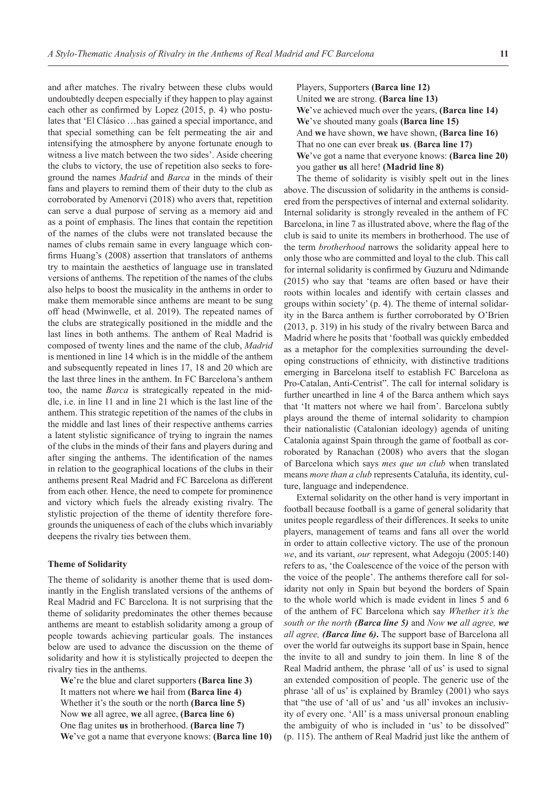and after matches. The rivalry between these clubs would undoubtedly deepen especially if they happen to play against each other as confirmed by Lopez (2015, p. 4) who postulates that 'El Clásico …has gained a special importance, and that special something can be felt permeating the air and intensifying the atmosphere by anyone fortunate enough to witness a live match between the two sides'. Aside cheering the clubs to victory, the use of repetition also seeks to foreground the names *Madrid* and *Barca* in the minds of their fans and players to remind them of their duty to the club as corroborated by Amenorvi (2018) who avers that, repetition can serve a dual purpose of serving as a memory aid and as a point of emphasis. The lines that contain the repetition of the names of the clubs were not translated because the names of clubs remain same in every language which confirms Huang's (2008) assertion that translators of anthems try to maintain the aesthetics of language use in translated versions of anthems. The repetition of the names of the clubs also helps to boost the musicality in the anthems in order to make them memorable since anthems are meant to be sung off head (Mwinwelle, et al. 2019). The repeated names of the clubs are strategically positioned in the middle and the last lines in both anthems. The anthem of Real Madrid is composed of twenty lines and the name of the club, *Madrid* is mentioned in line 14 which is in the middle of the anthem and subsequently repeated in lines 17, 18 and 20 which are the last three lines in the anthem. In FC Barcelona's anthem too, the name *Barca* is strategically repeated in the middle, i.e. in line 11 and in line 21 which is the last line of the anthem. This strategic repetition of the names of the clubs in the middle and last lines of their respective anthems carries a latent stylistic significance of trying to ingrain the names of the clubs in the minds of their fans and players during and after singing the anthems. The identification of the names in relation to the geographical locations of the clubs in their anthems present Real Madrid and FC Barcelona as different from each other. Hence, the need to compete for prominence and victory which fuels the already existing rivalry. The stylistic projection of the theme of identity therefore foregrounds the uniqueness of each of the clubs which invariably deepens the rivalry ties between them.

#### **Theme of Solidarity**

The theme of solidarity is another theme that is used dominantly in the English translated versions of the anthems of Real Madrid and FC Barcelona. It is not surprising that the theme of solidarity predominates the other themes because anthems are meant to establish solidarity among a group of people towards achieving particular goals. The instances below are used to advance the discussion on the theme of solidarity and how it is stylistically projected to deepen the rivalry ties in the anthems.

**We**'re the blue and claret supporters **(Barca line 3)** It matters not where **we** hail from **(Barca line 4)** Whether it's the south or the north **(Barca line 5)** Now **we** all agree, **we** all agree, **(Barca line 6)** One flag unites **us** in brotherhood. **(Barca line 7) We**'ve got a name that everyone knows: **(Barca line 10)** Players, Supporters **(Barca line 12)** United **we** are strong. **(Barca line 13) We**'ve achieved much over the years, **(Barca line 14) We**'ve shouted many goals **(Barca line 15)** And **we** have shown, **we** have shown, **(Barca line 16)** That no one can ever break **us**. **(Barca line 17) We**'ve got a name that everyone knows: **(Barca line 20)** you gather **us** all here! **(Madrid line 8)**

The theme of solidarity is visibly spelt out in the lines above. The discussion of solidarity in the anthems is considered from the perspectives of internal and external solidarity. Internal solidarity is strongly revealed in the anthem of FC Barcelona, in line 7 as illustrated above, where the flag of the club is said to unite its members in brotherhood. The use of the term *brotherhood* narrows the solidarity appeal here to only those who are committed and loyal to the club. This call for internal solidarity is confirmed by Guzuru and Ndimande (2015) who say that 'teams are often based or have their roots within locales and identify with certain classes and groups within society' (p. 4). The theme of internal solidarity in the Barca anthem is further corroborated by O'Brien (2013, p. 319) in his study of the rivalry between Barca and Madrid where he posits that 'football was quickly embedded as a metaphor for the complexities surrounding the developing constructions of ethnicity, with distinctive traditions emerging in Barcelona itself to establish FC Barcelona as Pro-Catalan, Anti-Centrist". The call for internal solidary is further unearthed in line 4 of the Barca anthem which says that 'It matters not where we hail from'. Barcelona subtly plays around the theme of internal solidarity to champion their nationalistic (Catalonian ideology) agenda of uniting Catalonia against Spain through the game of football as corroborated by Ranachan (2008) who avers that the slogan of Barcelona which says *mes que un club* when translated means *more than a club* represents Cataluña, its identity, culture, language and independence.

External solidarity on the other hand is very important in football because football is a game of general solidarity that unites people regardless of their differences. It seeks to unite players, management of teams and fans all over the world in order to attain collective victory. The use of the pronoun *we*, and its variant, *our* represent, what Adegoju (2005:140) refers to as, 'the Coalescence of the voice of the person with the voice of the people'. The anthems therefore call for solidarity not only in Spain but beyond the borders of Spain to the whole world which is made evident in lines 5 and 6 of the anthem of FC Barcelona which say *Whether it's the south or the north (Barca line 5)* and *Now we all agree, we all agree, (Barca line 6)***.** The support base of Barcelona all over the world far outweighs its support base in Spain, hence the invite to all and sundry to join them. In line 8 of the Real Madrid anthem, the phrase 'all of us' is used to signal an extended composition of people. The generic use of the phrase 'all of us' is explained by Bramley (2001) who says that "the use of 'all of us' and 'us all' invokes an inclusivity of every one. 'All' is a mass universal pronoun enabling the ambiguity of who is included in 'us' to be dissolved" (p. 115). The anthem of Real Madrid just like the anthem of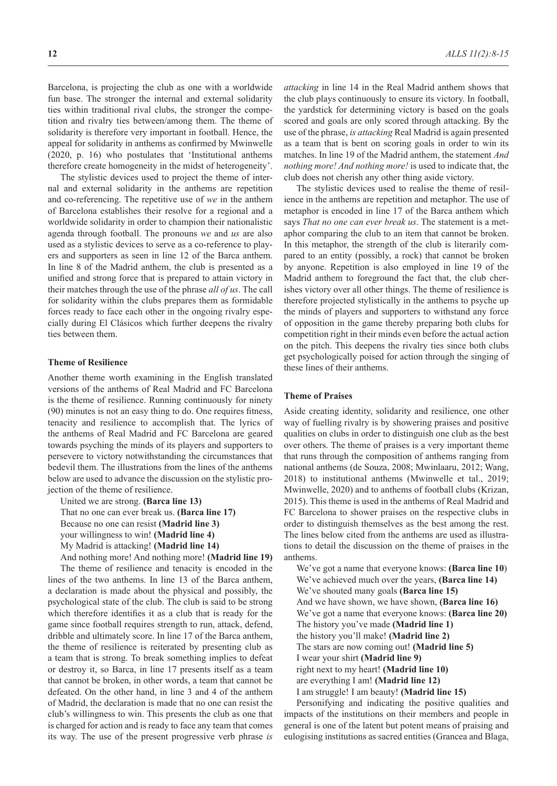Barcelona, is projecting the club as one with a worldwide fun base. The stronger the internal and external solidarity ties within traditional rival clubs, the stronger the competition and rivalry ties between/among them. The theme of solidarity is therefore very important in football. Hence, the appeal for solidarity in anthems as confirmed by Mwinwelle (2020, p. 16) who postulates that 'Institutional anthems therefore create homogeneity in the midst of heterogeneity'.

The stylistic devices used to project the theme of internal and external solidarity in the anthems are repetition and co-referencing. The repetitive use of *we* in the anthem of Barcelona establishes their resolve for a regional and a worldwide solidarity in order to champion their nationalistic agenda through football. The pronouns *we* and *us* are also used as a stylistic devices to serve as a co-reference to players and supporters as seen in line 12 of the Barca anthem. In line 8 of the Madrid anthem, the club is presented as a unified and strong force that is prepared to attain victory in their matches through the use of the phrase *all of us*. The call for solidarity within the clubs prepares them as formidable forces ready to face each other in the ongoing rivalry especially during El Clásicos which further deepens the rivalry ties between them.

#### **Theme of Resilience**

Another theme worth examining in the English translated versions of the anthems of Real Madrid and FC Barcelona is the theme of resilience. Running continuously for ninety (90) minutes is not an easy thing to do. One requires fitness, tenacity and resilience to accomplish that. The lyrics of the anthems of Real Madrid and FC Barcelona are geared towards psyching the minds of its players and supporters to persevere to victory notwithstanding the circumstances that bedevil them. The illustrations from the lines of the anthems below are used to advance the discussion on the stylistic projection of the theme of resilience.

United we are strong. **(Barca line 13)** That no one can ever break us. **(Barca line 17)** Because no one can resist **(Madrid line 3)** your willingness to win! **(Madrid line 4)** My Madrid is attacking! **(Madrid line 14)** And nothing more! And nothing more! **(Madrid line 19)**

The theme of resilience and tenacity is encoded in the lines of the two anthems. In line 13 of the Barca anthem, a declaration is made about the physical and possibly, the psychological state of the club. The club is said to be strong which therefore identifies it as a club that is ready for the game since football requires strength to run, attack, defend, dribble and ultimately score. In line 17 of the Barca anthem, the theme of resilience is reiterated by presenting club as a team that is strong. To break something implies to defeat or destroy it, so Barca, in line 17 presents itself as a team that cannot be broken, in other words, a team that cannot be defeated. On the other hand, in line 3 and 4 of the anthem of Madrid, the declaration is made that no one can resist the club's willingness to win. This presents the club as one that is charged for action and is ready to face any team that comes its way. The use of the present progressive verb phrase *is* 

*attacking* in line 14 in the Real Madrid anthem shows that the club plays continuously to ensure its victory. In football, the yardstick for determining victory is based on the goals scored and goals are only scored through attacking. By the use of the phrase, *is attacking* Real Madrid is again presented as a team that is bent on scoring goals in order to win its matches. In line 19 of the Madrid anthem, the statement *And nothing more! And nothing more!* is used to indicate that, the club does not cherish any other thing aside victory.

The stylistic devices used to realise the theme of resilience in the anthems are repetition and metaphor. The use of metaphor is encoded in line 17 of the Barca anthem which says *That no one can ever break us*. The statement is a metaphor comparing the club to an item that cannot be broken. In this metaphor, the strength of the club is literarily compared to an entity (possibly, a rock) that cannot be broken by anyone. Repetition is also employed in line 19 of the Madrid anthem to foreground the fact that, the club cherishes victory over all other things. The theme of resilience is therefore projected stylistically in the anthems to psyche up the minds of players and supporters to withstand any force of opposition in the game thereby preparing both clubs for competition right in their minds even before the actual action on the pitch. This deepens the rivalry ties since both clubs get psychologically poised for action through the singing of these lines of their anthems.

### **Theme of Praises**

Aside creating identity, solidarity and resilience, one other way of fuelling rivalry is by showering praises and positive qualities on clubs in order to distinguish one club as the best over others. The theme of praises is a very important theme that runs through the composition of anthems ranging from national anthems (de Souza, 2008; Mwinlaaru, 2012; Wang, 2018) to institutional anthems (Mwinwelle et tal., 2019; Mwinwelle, 2020) and to anthems of football clubs (Krizan, 2015). This theme is used in the anthems of Real Madrid and FC Barcelona to shower praises on the respective clubs in order to distinguish themselves as the best among the rest. The lines below cited from the anthems are used as illustrations to detail the discussion on the theme of praises in the anthems.

We've got a name that everyone knows: **(Barca line 10**) We've achieved much over the years, **(Barca line 14)** We've shouted many goals **(Barca line 15)** And we have shown, we have shown, **(Barca line 16)** We've got a name that everyone knows: **(Barca line 20)** The history you've made **(Madrid line 1)** the history you'll make! **(Madrid line 2)** The stars are now coming out! **(Madrid line 5)** I wear your shirt **(Madrid line 9)** right next to my heart! **(Madrid line 10)** are everything I am! **(Madrid line 12)** I am struggle! I am beauty! **(Madrid line 15)**

Personifying and indicating the positive qualities and impacts of the institutions on their members and people in general is one of the latent but potent means of praising and eulogising institutions as sacred entities (Grancea and Blaga,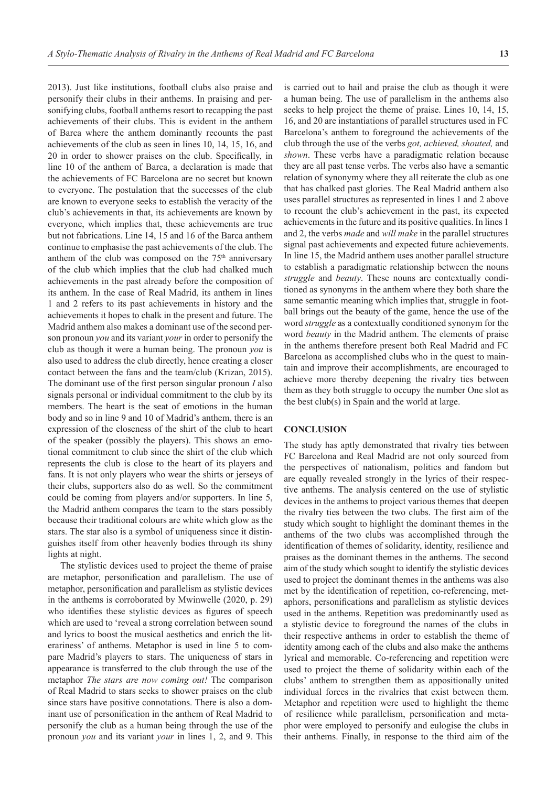2013). Just like institutions, football clubs also praise and personify their clubs in their anthems. In praising and personifying clubs, football anthems resort to recapping the past achievements of their clubs. This is evident in the anthem of Barca where the anthem dominantly recounts the past achievements of the club as seen in lines 10, 14, 15, 16, and 20 in order to shower praises on the club. Specifically, in line 10 of the anthem of Barca, a declaration is made that the achievements of FC Barcelona are no secret but known to everyone. The postulation that the successes of the club are known to everyone seeks to establish the veracity of the club's achievements in that, its achievements are known by everyone, which implies that, these achievements are true but not fabrications. Line 14, 15 and 16 of the Barca anthem continue to emphasise the past achievements of the club. The anthem of the club was composed on the  $75<sup>th</sup>$  anniversary of the club which implies that the club had chalked much achievements in the past already before the composition of its anthem. In the case of Real Madrid, its anthem in lines 1 and 2 refers to its past achievements in history and the achievements it hopes to chalk in the present and future. The Madrid anthem also makes a dominant use of the second person pronoun *you* and its variant *your* in order to personify the club as though it were a human being. The pronoun *you* is also used to address the club directly, hence creating a closer contact between the fans and the team/club (Krizan, 2015). The dominant use of the first person singular pronoun *I* also signals personal or individual commitment to the club by its members. The heart is the seat of emotions in the human body and so in line 9 and 10 of Madrid's anthem, there is an expression of the closeness of the shirt of the club to heart of the speaker (possibly the players). This shows an emotional commitment to club since the shirt of the club which represents the club is close to the heart of its players and fans. It is not only players who wear the shirts or jerseys of their clubs, supporters also do as well. So the commitment could be coming from players and/or supporters. In line 5, the Madrid anthem compares the team to the stars possibly because their traditional colours are white which glow as the stars. The star also is a symbol of uniqueness since it distinguishes itself from other heavenly bodies through its shiny lights at night.

The stylistic devices used to project the theme of praise are metaphor, personification and parallelism. The use of metaphor, personification and parallelism as stylistic devices in the anthems is corroborated by Mwinwelle (2020, p. 29) who identifies these stylistic devices as figures of speech which are used to 'reveal a strong correlation between sound and lyrics to boost the musical aesthetics and enrich the literariness' of anthems. Metaphor is used in line 5 to compare Madrid's players to stars. The uniqueness of stars in appearance is transferred to the club through the use of the metaphor *The stars are now coming out!* The comparison of Real Madrid to stars seeks to shower praises on the club since stars have positive connotations. There is also a dominant use of personification in the anthem of Real Madrid to personify the club as a human being through the use of the pronoun *you* and its variant *your* in lines 1, 2, and 9. This

is carried out to hail and praise the club as though it were a human being. The use of parallelism in the anthems also seeks to help project the theme of praise. Lines 10, 14, 15, 16, and 20 are instantiations of parallel structures used in FC Barcelona's anthem to foreground the achievements of the club through the use of the verbs *got, achieved, shouted,* and *shown*. These verbs have a paradigmatic relation because they are all past tense verbs. The verbs also have a semantic relation of synonymy where they all reiterate the club as one that has chalked past glories. The Real Madrid anthem also uses parallel structures as represented in lines 1 and 2 above to recount the club's achievement in the past, its expected achievements in the future and its positive qualities. In lines 1 and 2, the verbs *made* and *will make* in the parallel structures signal past achievements and expected future achievements. In line 15, the Madrid anthem uses another parallel structure to establish a paradigmatic relationship between the nouns *struggle* and *beauty*. These nouns are contextually conditioned as synonyms in the anthem where they both share the same semantic meaning which implies that, struggle in football brings out the beauty of the game, hence the use of the word *struggle* as a contextually conditioned synonym for the word *beauty* in the Madrid anthem. The elements of praise in the anthems therefore present both Real Madrid and FC Barcelona as accomplished clubs who in the quest to maintain and improve their accomplishments, are encouraged to achieve more thereby deepening the rivalry ties between them as they both struggle to occupy the number One slot as the best club(s) in Spain and the world at large.

### **CONCLUSION**

The study has aptly demonstrated that rivalry ties between FC Barcelona and Real Madrid are not only sourced from the perspectives of nationalism, politics and fandom but are equally revealed strongly in the lyrics of their respective anthems. The analysis centered on the use of stylistic devices in the anthems to project various themes that deepen the rivalry ties between the two clubs. The first aim of the study which sought to highlight the dominant themes in the anthems of the two clubs was accomplished through the identification of themes of solidarity, identity, resilience and praises as the dominant themes in the anthems. The second aim of the study which sought to identify the stylistic devices used to project the dominant themes in the anthems was also met by the identification of repetition, co-referencing, metaphors, personifications and parallelism as stylistic devices used in the anthems. Repetition was predominantly used as a stylistic device to foreground the names of the clubs in their respective anthems in order to establish the theme of identity among each of the clubs and also make the anthems lyrical and memorable. Co-referencing and repetition were used to project the theme of solidarity within each of the clubs' anthem to strengthen them as appositionally united individual forces in the rivalries that exist between them. Metaphor and repetition were used to highlight the theme of resilience while parallelism, personification and metaphor were employed to personify and eulogise the clubs in their anthems. Finally, in response to the third aim of the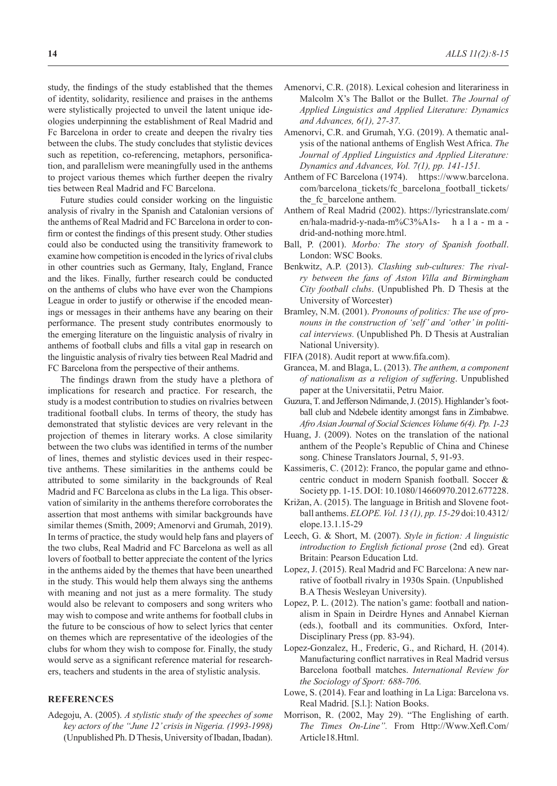study, the findings of the study established that the themes of identity, solidarity, resilience and praises in the anthems were stylistically projected to unveil the latent unique ideologies underpinning the establishment of Real Madrid and Fc Barcelona in order to create and deepen the rivalry ties between the clubs. The study concludes that stylistic devices such as repetition, co-referencing, metaphors, personification, and parallelism were meaningfully used in the anthems to project various themes which further deepen the rivalry ties between Real Madrid and FC Barcelona.

Future studies could consider working on the linguistic analysis of rivalry in the Spanish and Catalonian versions of the anthems of Real Madrid and FC Barcelona in order to confirm or contest the findings of this present study. Other studies could also be conducted using the transitivity framework to examine how competition is encoded in the lyrics of rival clubs in other countries such as Germany, Italy, England, France and the likes. Finally, further research could be conducted on the anthems of clubs who have ever won the Champions League in order to justify or otherwise if the encoded meanings or messages in their anthems have any bearing on their performance. The present study contributes enormously to the emerging literature on the linguistic analysis of rivalry in anthems of football clubs and fills a vital gap in research on the linguistic analysis of rivalry ties between Real Madrid and FC Barcelona from the perspective of their anthems.

The findings drawn from the study have a plethora of implications for research and practice. For research, the study is a modest contribution to studies on rivalries between traditional football clubs. In terms of theory, the study has demonstrated that stylistic devices are very relevant in the projection of themes in literary works. A close similarity between the two clubs was identified in terms of the number of lines, themes and stylistic devices used in their respective anthems. These similarities in the anthems could be attributed to some similarity in the backgrounds of Real Madrid and FC Barcelona as clubs in the La liga. This observation of similarity in the anthems therefore corroborates the assertion that most anthems with similar backgrounds have similar themes (Smith, 2009; Amenorvi and Grumah, 2019). In terms of practice, the study would help fans and players of the two clubs, Real Madrid and FC Barcelona as well as all lovers of football to better appreciate the content of the lyrics in the anthems aided by the themes that have been unearthed in the study. This would help them always sing the anthems with meaning and not just as a mere formality. The study would also be relevant to composers and song writers who may wish to compose and write anthems for football clubs in the future to be conscious of how to select lyrics that center on themes which are representative of the ideologies of the clubs for whom they wish to compose for. Finally, the study would serve as a significant reference material for researchers, teachers and students in the area of stylistic analysis.

## **REFERENCES**

Adegoju, A. (2005). *A stylistic study of the speeches of some key actors of the "June 12' crisis in Nigeria. (1993-1998)* (Unpublished Ph. D Thesis, University of Ibadan, Ibadan).

- Amenorvi, C.R. (2018). Lexical cohesion and literariness in Malcolm X's The Ballot or the Bullet. *The Journal of Applied Linguistics and Applied Literature: Dynamics and Advances, 6(1), 27-37.*
- Amenorvi, C.R. and Grumah, Y.G. (2019). A thematic analysis of the national anthems of English West Africa. *The Journal of Applied Linguistics and Applied Literature: Dynamics and Advances, Vol. 7(1), pp. 141-151.*
- Anthem of FC Barcelona (1974). https://www.barcelona. com/barcelona\_tickets/fc\_barcelona\_football\_tickets/ the fc barcelone anthem.
- Anthem of Real Madrid (2002). https://lyricstranslate.com/ en/hala-madrid-y-nada-m%C3%A1s- h a l a - m a drid-and-nothing more.html.
- Ball, P. (2001). *Morbo: The story of Spanish football*. London: WSC Books.
- Benkwitz, A.P. (2013). *Clashing sub-cultures: The rivalry between the fans of Aston Villa and Birmingham City football clubs*. (Unpublished Ph. D Thesis at the University of Worcester)
- Bramley, N.M. (2001). *Pronouns of politics: The use of pronouns in the construction of 'self' and 'other' in political interviews.* (Unpublished Ph. D Thesis at Australian National University).
- FIFA (2018). Audit report at www.fifa.com).
- Grancea, M. and Blaga, L. (2013). *The anthem, a component of nationalism as a religion of suffering*. Unpublished paper at the Universitatii, Petru Maior.
- Guzura, T. and Jefferson Ndimande, J. (2015). Highlander's football club and Ndebele identity amongst fans in Zimbabwe. *Afro Asian Journal of Social Sciences Volume 6(4). Pp. 1-23*
- Huang, J. (2009). Notes on the translation of the national anthem of the People's Republic of China and Chinese song. Chinese Translators Journal, 5, 91-93.
- Kassimeris, C. (2012): Franco, the popular game and ethnocentric conduct in modern Spanish football. Soccer & Society pp. 1-15. DOI: 10.1080/14660970.2012.677228.
- Križan, A. (2015). The language in British and Slovene football anthems. *ELOPE. Vol. 13 (1), pp. 15-29* doi:10.4312/ elope.13.1.15-29
- Leech, G. & Short, M. (2007). *Style in fiction: A linguistic introduction to English fictional prose* (2nd ed). Great Britain: Pearson Education Ltd.
- Lopez, J. (2015). Real Madrid and FC Barcelona: A new narrative of football rivalry in 1930s Spain. (Unpublished B.A Thesis Wesleyan University).
- Lopez, P. L. (2012). The nation's game: football and nationalism in Spain in Deirdre Hynes and Annabel Kiernan (eds.), football and its communities. Oxford, Inter-Disciplinary Press (pp. 83-94).
- Lopez-Gonzalez, H., Frederic, G., and Richard, H. (2014). Manufacturing conflict narratives in Real Madrid versus Barcelona football matches. *International Review for the Sociology of Sport: 688-706.*
- Lowe, S. (2014). Fear and loathing in La Liga: Barcelona vs. Real Madrid. [S.l.]: Nation Books.
- Morrison, R. (2002, May 29). "The Englishing of earth. *The Times On-Line".* From Http://Www.Xefl.Com/ Article18.Html.